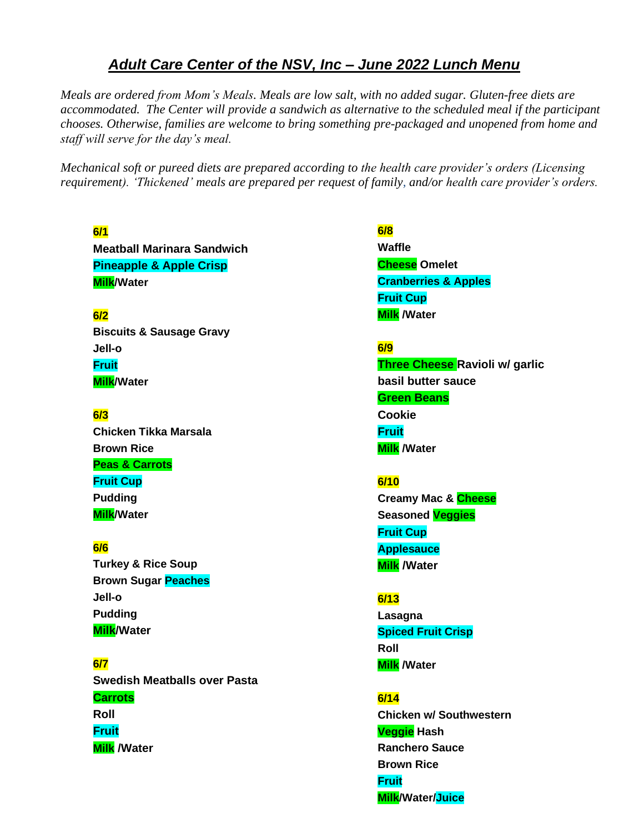# *Adult Care Center of the NSV, Inc – June 2022 Lunch Menu*

*Meals are ordered from Mom's Meals. Meals are low salt, with no added sugar. Gluten-free diets are accommodated. The Center will provide a sandwich as alternative to the scheduled meal if the participant chooses. Otherwise, families are welcome to bring something pre-packaged and unopened from home and staff will serve for the day's meal.* 

*Mechanical soft or pureed diets are prepared according to the health care provider's orders (Licensing requirement). 'Thickened' meals are prepared per request of family, and/or health care provider's orders.*

### **6/1**

**Meatball Marinara Sandwich Pineapple & Apple Crisp Milk/Water**

# **6/2**

**Biscuits & Sausage Gravy Jell-o Fruit Milk/Water**

# **6/3 Chicken Tikka Marsala Brown Rice Peas & Carrots Fruit Cup Pudding Milk/Water**

### **6/6**

**Turkey & Rice Soup Brown Sugar Peaches Jell-o Pudding Milk/Water**

**6/7 Swedish Meatballs over Pasta Carrots Roll Fruit Milk /Water**

# **6/8 Waffle Cheese Omelet**

**Cranberries & Apples Fruit Cup Milk /Water**

# **6/9**

**Three Cheese Ravioli w/ garlic basil butter sauce Green Beans Cookie Fruit Milk /Water**

# **6/10**

**Creamy Mac & Cheese Seasoned Veggies Fruit Cup Applesauce Milk /Water**

# **6/13**

**Lasagna Spiced Fruit Crisp Roll Milk /Water**

### **6/14**

**Chicken w/ Southwestern Veggie Hash Ranchero Sauce Brown Rice Fruit Milk/Water/Juice**